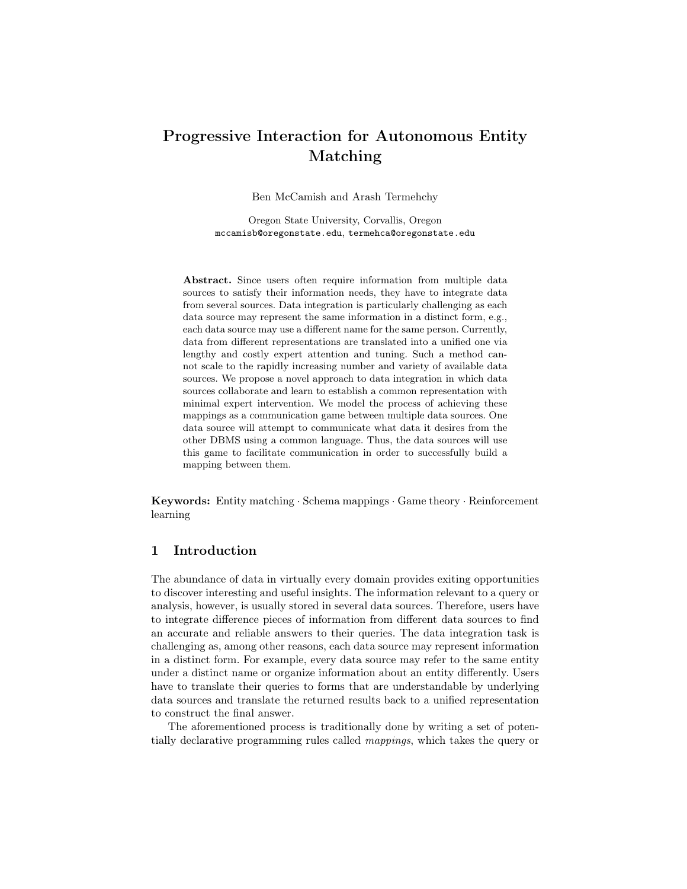# Progressive Interaction for Autonomous Entity Matching

Ben McCamish and Arash Termehchy

Oregon State University, Corvallis, Oregon mccamisb@oregonstate.edu, termehca@oregonstate.edu

Abstract. Since users often require information from multiple data sources to satisfy their information needs, they have to integrate data from several sources. Data integration is particularly challenging as each data source may represent the same information in a distinct form, e.g., each data source may use a different name for the same person. Currently, data from different representations are translated into a unified one via lengthy and costly expert attention and tuning. Such a method cannot scale to the rapidly increasing number and variety of available data sources. We propose a novel approach to data integration in which data sources collaborate and learn to establish a common representation with minimal expert intervention. We model the process of achieving these mappings as a communication game between multiple data sources. One data source will attempt to communicate what data it desires from the other DBMS using a common language. Thus, the data sources will use this game to facilitate communication in order to successfully build a mapping between them.

Keywords: Entity matching · Schema mappings · Game theory · Reinforcement learning

# 1 Introduction

The abundance of data in virtually every domain provides exiting opportunities to discover interesting and useful insights. The information relevant to a query or analysis, however, is usually stored in several data sources. Therefore, users have to integrate difference pieces of information from different data sources to find an accurate and reliable answers to their queries. The data integration task is challenging as, among other reasons, each data source may represent information in a distinct form. For example, every data source may refer to the same entity under a distinct name or organize information about an entity differently. Users have to translate their queries to forms that are understandable by underlying data sources and translate the returned results back to a unified representation to construct the final answer.

The aforementioned process is traditionally done by writing a set of potentially declarative programming rules called mappings, which takes the query or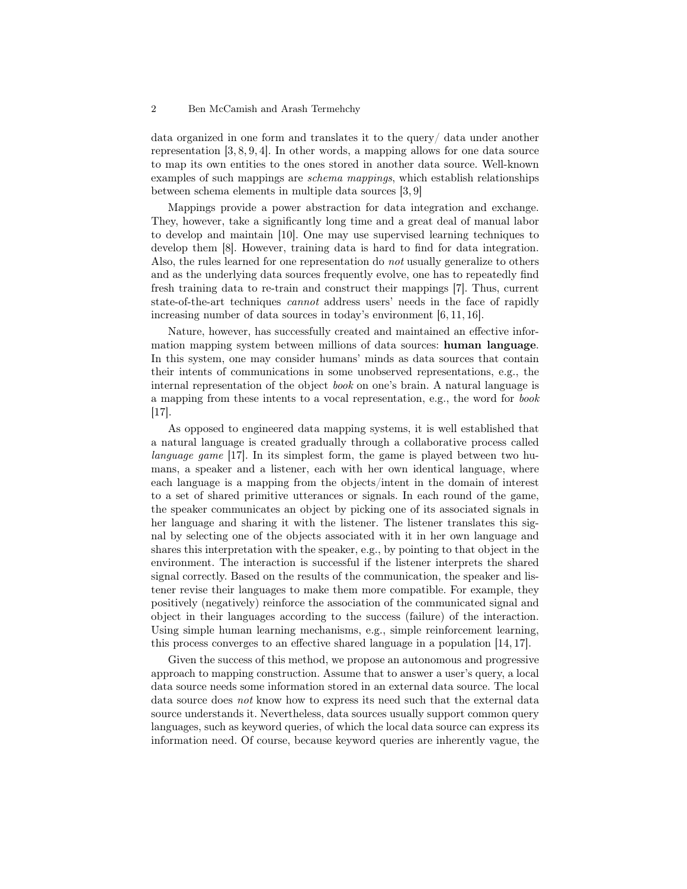#### 2 Ben McCamish and Arash Termehchy

data organized in one form and translates it to the query/ data under another representation [3, 8, 9, 4]. In other words, a mapping allows for one data source to map its own entities to the ones stored in another data source. Well-known examples of such mappings are schema mappings, which establish relationships between schema elements in multiple data sources [3, 9]

Mappings provide a power abstraction for data integration and exchange. They, however, take a significantly long time and a great deal of manual labor to develop and maintain [10]. One may use supervised learning techniques to develop them [8]. However, training data is hard to find for data integration. Also, the rules learned for one representation do not usually generalize to others and as the underlying data sources frequently evolve, one has to repeatedly find fresh training data to re-train and construct their mappings [7]. Thus, current state-of-the-art techniques cannot address users' needs in the face of rapidly increasing number of data sources in today's environment [6, 11, 16].

Nature, however, has successfully created and maintained an effective information mapping system between millions of data sources: human language. In this system, one may consider humans' minds as data sources that contain their intents of communications in some unobserved representations, e.g., the internal representation of the object *book* on one's brain. A natural language is a mapping from these intents to a vocal representation, e.g., the word for book [17].

As opposed to engineered data mapping systems, it is well established that a natural language is created gradually through a collaborative process called language game [17]. In its simplest form, the game is played between two humans, a speaker and a listener, each with her own identical language, where each language is a mapping from the objects/intent in the domain of interest to a set of shared primitive utterances or signals. In each round of the game, the speaker communicates an object by picking one of its associated signals in her language and sharing it with the listener. The listener translates this signal by selecting one of the objects associated with it in her own language and shares this interpretation with the speaker, e.g., by pointing to that object in the environment. The interaction is successful if the listener interprets the shared signal correctly. Based on the results of the communication, the speaker and listener revise their languages to make them more compatible. For example, they positively (negatively) reinforce the association of the communicated signal and object in their languages according to the success (failure) of the interaction. Using simple human learning mechanisms, e.g., simple reinforcement learning, this process converges to an effective shared language in a population [14, 17].

Given the success of this method, we propose an autonomous and progressive approach to mapping construction. Assume that to answer a user's query, a local data source needs some information stored in an external data source. The local data source does not know how to express its need such that the external data source understands it. Nevertheless, data sources usually support common query languages, such as keyword queries, of which the local data source can express its information need. Of course, because keyword queries are inherently vague, the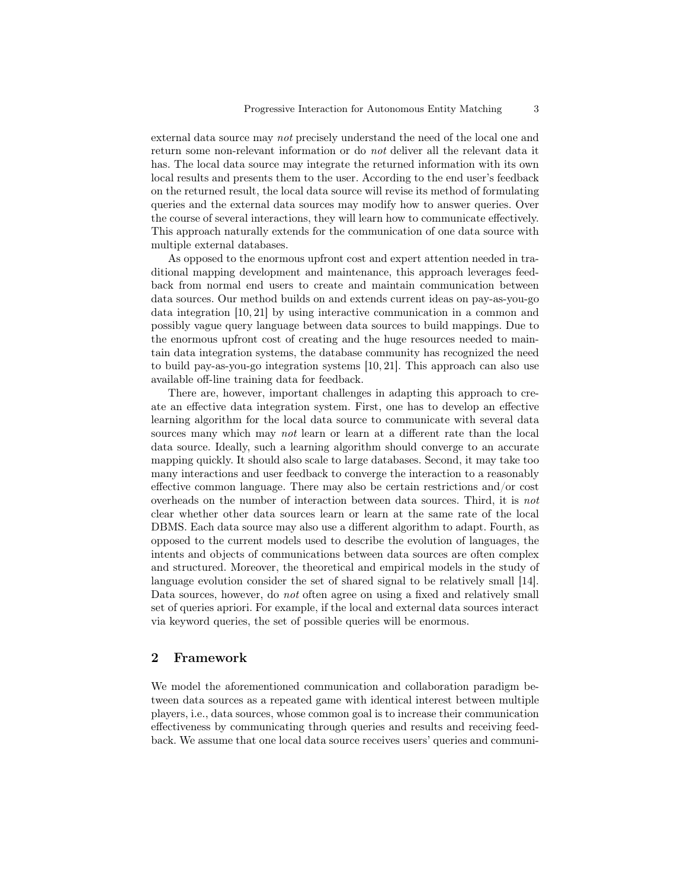external data source may not precisely understand the need of the local one and return some non-relevant information or do not deliver all the relevant data it has. The local data source may integrate the returned information with its own local results and presents them to the user. According to the end user's feedback on the returned result, the local data source will revise its method of formulating queries and the external data sources may modify how to answer queries. Over the course of several interactions, they will learn how to communicate effectively. This approach naturally extends for the communication of one data source with multiple external databases.

As opposed to the enormous upfront cost and expert attention needed in traditional mapping development and maintenance, this approach leverages feedback from normal end users to create and maintain communication between data sources. Our method builds on and extends current ideas on pay-as-you-go data integration [10, 21] by using interactive communication in a common and possibly vague query language between data sources to build mappings. Due to the enormous upfront cost of creating and the huge resources needed to maintain data integration systems, the database community has recognized the need to build pay-as-you-go integration systems [10, 21]. This approach can also use available off-line training data for feedback.

There are, however, important challenges in adapting this approach to create an effective data integration system. First, one has to develop an effective learning algorithm for the local data source to communicate with several data sources many which may not learn or learn at a different rate than the local data source. Ideally, such a learning algorithm should converge to an accurate mapping quickly. It should also scale to large databases. Second, it may take too many interactions and user feedback to converge the interaction to a reasonably effective common language. There may also be certain restrictions and/or cost overheads on the number of interaction between data sources. Third, it is not clear whether other data sources learn or learn at the same rate of the local DBMS. Each data source may also use a different algorithm to adapt. Fourth, as opposed to the current models used to describe the evolution of languages, the intents and objects of communications between data sources are often complex and structured. Moreover, the theoretical and empirical models in the study of language evolution consider the set of shared signal to be relatively small [14]. Data sources, however, do not often agree on using a fixed and relatively small set of queries apriori. For example, if the local and external data sources interact via keyword queries, the set of possible queries will be enormous.

## 2 Framework

We model the aforementioned communication and collaboration paradigm between data sources as a repeated game with identical interest between multiple players, i.e., data sources, whose common goal is to increase their communication effectiveness by communicating through queries and results and receiving feedback. We assume that one local data source receives users' queries and communi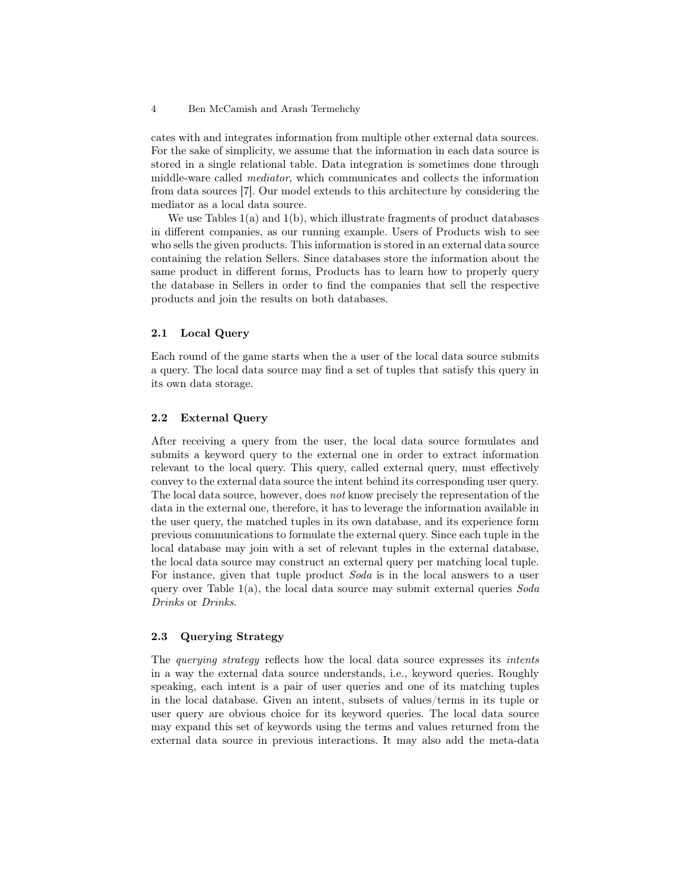cates with and integrates information from multiple other external data sources. For the sake of simplicity, we assume that the information in each data source is stored in a single relational table. Data integration is sometimes done through middle-ware called mediator, which communicates and collects the information from data sources [7]. Our model extends to this architecture by considering the mediator as a local data source.

We use Tables  $1(a)$  and  $1(b)$ , which illustrate fragments of product databases in different companies, as our running example. Users of Products wish to see who sells the given products. This information is stored in an external data source containing the relation Sellers. Since databases store the information about the same product in different forms, Products has to learn how to properly query the database in Sellers in order to find the companies that sell the respective products and join the results on both databases.

## 2.1 Local Query

Each round of the game starts when the a user of the local data source submits a query. The local data source may find a set of tuples that satisfy this query in its own data storage.

## 2.2 External Query

After receiving a query from the user, the local data source formulates and submits a keyword query to the external one in order to extract information relevant to the local query. This query, called external query, must effectively convey to the external data source the intent behind its corresponding user query. The local data source, however, does not know precisely the representation of the data in the external one, therefore, it has to leverage the information available in the user query, the matched tuples in its own database, and its experience form previous communications to formulate the external query. Since each tuple in the local database may join with a set of relevant tuples in the external database, the local data source may construct an external query per matching local tuple. For instance, given that tuple product Soda is in the local answers to a user query over Table  $1(a)$ , the local data source may submit external queries  $Soda$ Drinks or Drinks.

## 2.3 Querying Strategy

The querying strategy reflects how the local data source expresses its intents in a way the external data source understands, i.e., keyword queries. Roughly speaking, each intent is a pair of user queries and one of its matching tuples in the local database. Given an intent, subsets of values/terms in its tuple or user query are obvious choice for its keyword queries. The local data source may expand this set of keywords using the terms and values returned from the external data source in previous interactions. It may also add the meta-data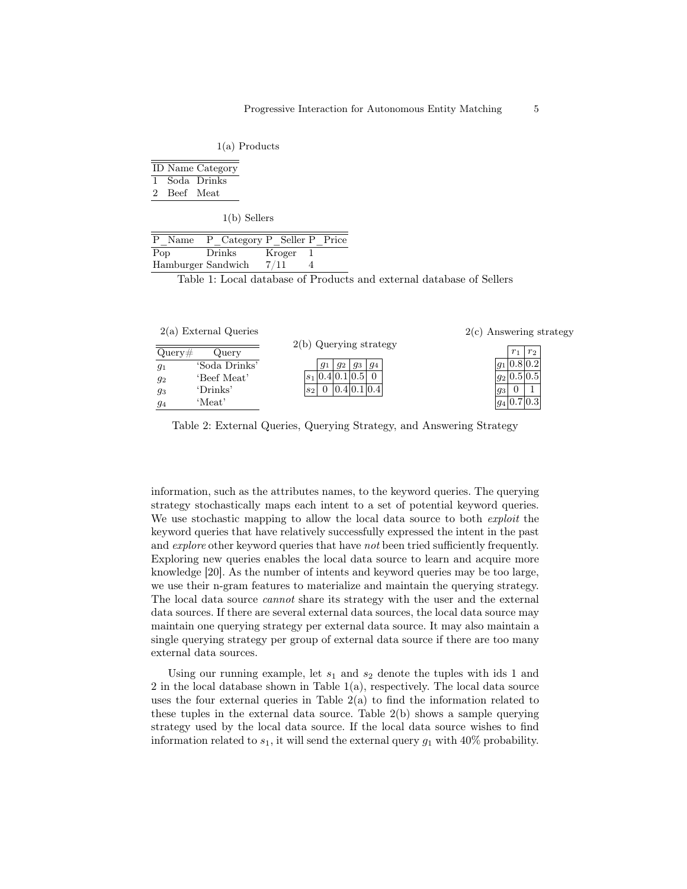1(a) Products

|             | <b>ID</b> Name Category |
|-------------|-------------------------|
|             | 1 Soda Drinks           |
| 2 Beef Meat |                         |
|             |                         |

1(b) Sellers

| P Name             | P Category P Seller P Price |        |  |
|--------------------|-----------------------------|--------|--|
| Pop                | Drinks                      | Kroger |  |
| Hamburger Sandwich |                             | 7/11   |  |
|                    |                             |        |  |

Table 1: Local database of Products and external database of Sellers

| $2(a)$ External Queries |                            | $2(c)$ Answering strategy  |
|-------------------------|----------------------------|----------------------------|
| Query#<br>Query         | $2(b)$ Querying strategy   | r <sub>2</sub><br>$r_{1}$  |
| 'Soda Drinks'<br>$g_1$  | $q_1$<br>$g_3$<br>94<br>92 | $ g_1 0.8 0.\overline{2} $ |
| 'Beef Meat'<br>92       | $ s_1 0.4 0.1 0.5 $        | $ g_2 0.5 0.\overline{5} $ |
| 'Drinks'<br>93          | 0.4 0.1 0.4 <br>$s_2$      | $\overline{g_3}$           |
| 'Meat'<br>94            |                            | $ g_4 0.7 \overline{0.3} $ |

Table 2: External Queries, Querying Strategy, and Answering Strategy

information, such as the attributes names, to the keyword queries. The querying strategy stochastically maps each intent to a set of potential keyword queries. We use stochastic mapping to allow the local data source to both *exploit* the keyword queries that have relatively successfully expressed the intent in the past and *explore* other keyword queries that have *not* been tried sufficiently frequently. Exploring new queries enables the local data source to learn and acquire more knowledge [20]. As the number of intents and keyword queries may be too large, we use their n-gram features to materialize and maintain the querying strategy. The local data source cannot share its strategy with the user and the external data sources. If there are several external data sources, the local data source may maintain one querying strategy per external data source. It may also maintain a single querying strategy per group of external data source if there are too many external data sources.

Using our running example, let  $s_1$  and  $s_2$  denote the tuples with ids 1 and 2 in the local database shown in Table  $1(a)$ , respectively. The local data source uses the four external queries in Table 2(a) to find the information related to these tuples in the external data source. Table 2(b) shows a sample querying strategy used by the local data source. If the local data source wishes to find information related to  $s_1$ , it will send the external query  $g_1$  with 40% probability.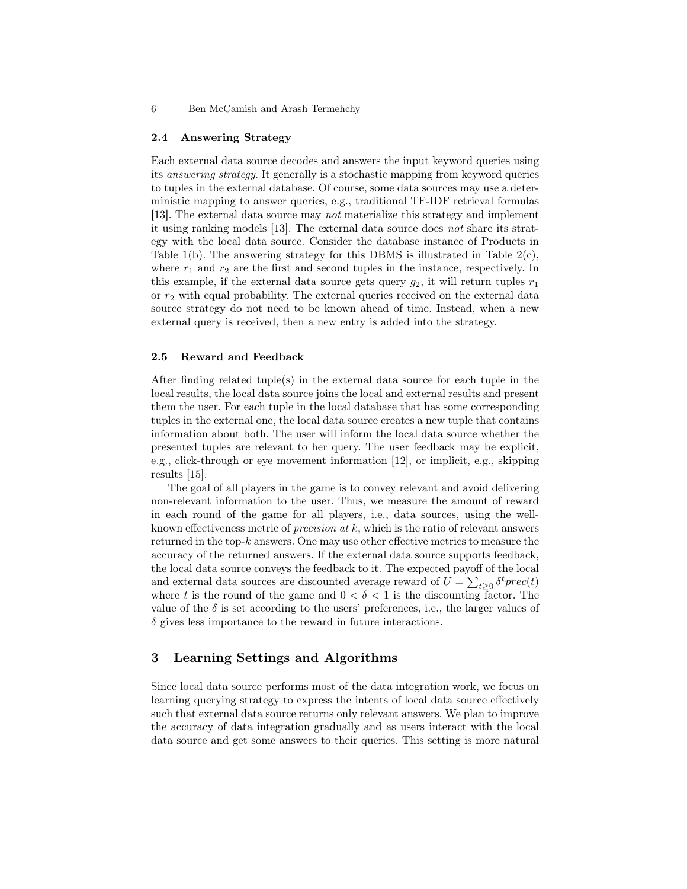#### 2.4 Answering Strategy

Each external data source decodes and answers the input keyword queries using its answering strategy. It generally is a stochastic mapping from keyword queries to tuples in the external database. Of course, some data sources may use a deterministic mapping to answer queries, e.g., traditional TF-IDF retrieval formulas [13]. The external data source may not materialize this strategy and implement it using ranking models [13]. The external data source does not share its strategy with the local data source. Consider the database instance of Products in Table 1(b). The answering strategy for this DBMS is illustrated in Table  $2(c)$ , where  $r_1$  and  $r_2$  are the first and second tuples in the instance, respectively. In this example, if the external data source gets query  $g_2$ , it will return tuples  $r_1$ or  $r_2$  with equal probability. The external queries received on the external data source strategy do not need to be known ahead of time. Instead, when a new external query is received, then a new entry is added into the strategy.

### 2.5 Reward and Feedback

After finding related tuple(s) in the external data source for each tuple in the local results, the local data source joins the local and external results and present them the user. For each tuple in the local database that has some corresponding tuples in the external one, the local data source creates a new tuple that contains information about both. The user will inform the local data source whether the presented tuples are relevant to her query. The user feedback may be explicit, e.g., click-through or eye movement information [12], or implicit, e.g., skipping results [15].

The goal of all players in the game is to convey relevant and avoid delivering non-relevant information to the user. Thus, we measure the amount of reward in each round of the game for all players, i.e., data sources, using the wellknown effectiveness metric of *precision at*  $k$ , which is the ratio of relevant answers returned in the top- $k$  answers. One may use other effective metrics to measure the accuracy of the returned answers. If the external data source supports feedback, the local data source conveys the feedback to it. The expected payoff of the local and external data sources are discounted average reward of  $U = \sum_{t\geq 0} \delta^t prec(t)$ where t is the round of the game and  $0 < \delta < 1$  is the discounting factor. The value of the  $\delta$  is set according to the users' preferences, i.e., the larger values of  $\delta$  gives less importance to the reward in future interactions.

# 3 Learning Settings and Algorithms

Since local data source performs most of the data integration work, we focus on learning querying strategy to express the intents of local data source effectively such that external data source returns only relevant answers. We plan to improve the accuracy of data integration gradually and as users interact with the local data source and get some answers to their queries. This setting is more natural

<sup>6</sup> Ben McCamish and Arash Termehchy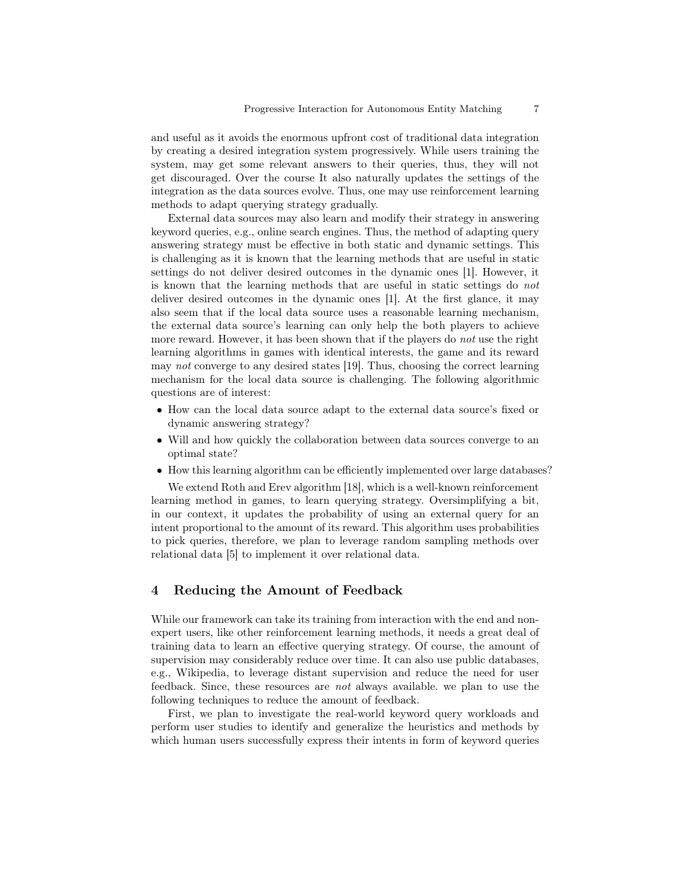and useful as it avoids the enormous upfront cost of traditional data integration by creating a desired integration system progressively. While users training the system, may get some relevant answers to their queries, thus, they will not get discouraged. Over the course It also naturally updates the settings of the integration as the data sources evolve. Thus, one may use reinforcement learning methods to adapt querying strategy gradually.

External data sources may also learn and modify their strategy in answering keyword queries, e.g., online search engines. Thus, the method of adapting query answering strategy must be effective in both static and dynamic settings. This is challenging as it is known that the learning methods that are useful in static settings do not deliver desired outcomes in the dynamic ones [1]. However, it is known that the learning methods that are useful in static settings do not deliver desired outcomes in the dynamic ones [1]. At the first glance, it may also seem that if the local data source uses a reasonable learning mechanism, the external data source's learning can only help the both players to achieve more reward. However, it has been shown that if the players do *not* use the right learning algorithms in games with identical interests, the game and its reward may not converge to any desired states [19]. Thus, choosing the correct learning mechanism for the local data source is challenging. The following algorithmic questions are of interest:

- How can the local data source adapt to the external data source's fixed or dynamic answering strategy?
- Will and how quickly the collaboration between data sources converge to an optimal state?
- How this learning algorithm can be efficiently implemented over large databases?

We extend Roth and Erev algorithm [18], which is a well-known reinforcement learning method in games, to learn querying strategy. Oversimplifying a bit, in our context, it updates the probability of using an external query for an intent proportional to the amount of its reward. This algorithm uses probabilities to pick queries, therefore, we plan to leverage random sampling methods over relational data [5] to implement it over relational data.

# 4 Reducing the Amount of Feedback

While our framework can take its training from interaction with the end and nonexpert users, like other reinforcement learning methods, it needs a great deal of training data to learn an effective querying strategy. Of course, the amount of supervision may considerably reduce over time. It can also use public databases, e.g., Wikipedia, to leverage distant supervision and reduce the need for user feedback. Since, these resources are not always available. we plan to use the following techniques to reduce the amount of feedback.

First, we plan to investigate the real-world keyword query workloads and perform user studies to identify and generalize the heuristics and methods by which human users successfully express their intents in form of keyword queries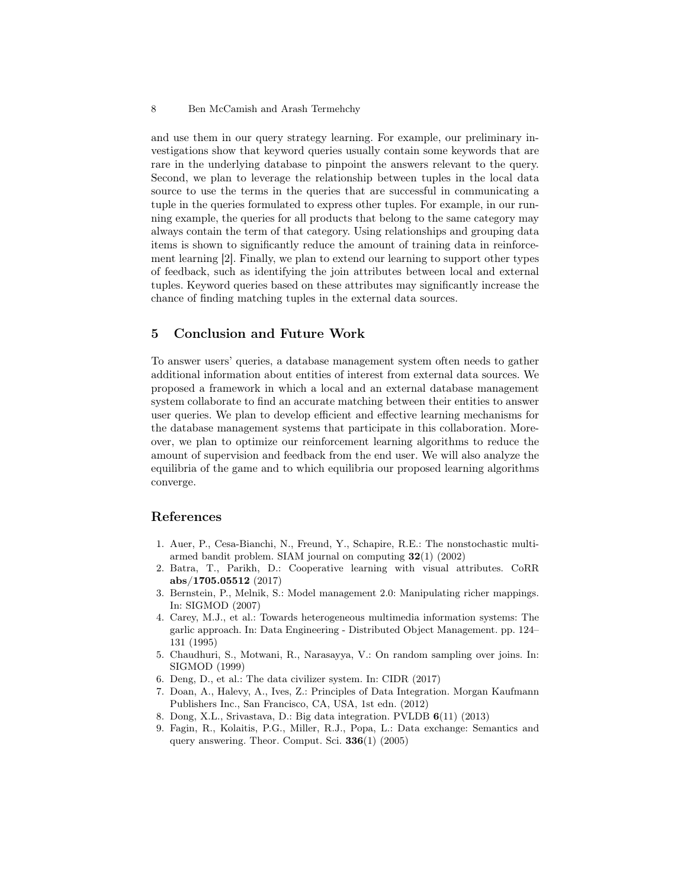and use them in our query strategy learning. For example, our preliminary investigations show that keyword queries usually contain some keywords that are rare in the underlying database to pinpoint the answers relevant to the query. Second, we plan to leverage the relationship between tuples in the local data source to use the terms in the queries that are successful in communicating a tuple in the queries formulated to express other tuples. For example, in our running example, the queries for all products that belong to the same category may always contain the term of that category. Using relationships and grouping data items is shown to significantly reduce the amount of training data in reinforcement learning [2]. Finally, we plan to extend our learning to support other types of feedback, such as identifying the join attributes between local and external tuples. Keyword queries based on these attributes may significantly increase the chance of finding matching tuples in the external data sources.

# 5 Conclusion and Future Work

To answer users' queries, a database management system often needs to gather additional information about entities of interest from external data sources. We proposed a framework in which a local and an external database management system collaborate to find an accurate matching between their entities to answer user queries. We plan to develop efficient and effective learning mechanisms for the database management systems that participate in this collaboration. Moreover, we plan to optimize our reinforcement learning algorithms to reduce the amount of supervision and feedback from the end user. We will also analyze the equilibria of the game and to which equilibria our proposed learning algorithms converge.

# References

- 1. Auer, P., Cesa-Bianchi, N., Freund, Y., Schapire, R.E.: The nonstochastic multiarmed bandit problem. SIAM journal on computing  $32(1)$  (2002)
- 2. Batra, T., Parikh, D.: Cooperative learning with visual attributes. CoRR abs/1705.05512 (2017)
- 3. Bernstein, P., Melnik, S.: Model management 2.0: Manipulating richer mappings. In: SIGMOD (2007)
- 4. Carey, M.J., et al.: Towards heterogeneous multimedia information systems: The garlic approach. In: Data Engineering - Distributed Object Management. pp. 124– 131 (1995)
- 5. Chaudhuri, S., Motwani, R., Narasayya, V.: On random sampling over joins. In: SIGMOD (1999)
- 6. Deng, D., et al.: The data civilizer system. In: CIDR (2017)
- 7. Doan, A., Halevy, A., Ives, Z.: Principles of Data Integration. Morgan Kaufmann Publishers Inc., San Francisco, CA, USA, 1st edn. (2012)
- 8. Dong, X.L., Srivastava, D.: Big data integration. PVLDB 6(11) (2013)
- 9. Fagin, R., Kolaitis, P.G., Miller, R.J., Popa, L.: Data exchange: Semantics and query answering. Theor. Comput. Sci. 336(1) (2005)

<sup>8</sup> Ben McCamish and Arash Termehchy